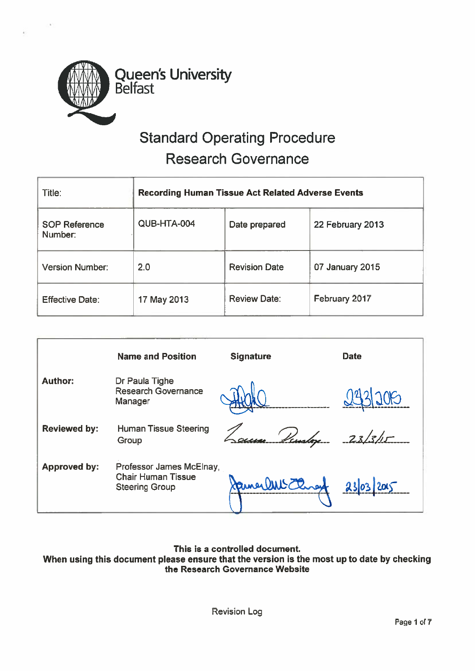

# Standard Operating Procedure Research Governance

| Title:                          | <b>Recording Human Tissue Act Related Adverse Events</b> |                      |                  |  |
|---------------------------------|----------------------------------------------------------|----------------------|------------------|--|
| <b>SOP Reference</b><br>Number: | QUB-HTA-004                                              | Date prepared        | 22 February 2013 |  |
| <b>Version Number:</b>          | 2.0                                                      | <b>Revision Date</b> | 07 January 2015  |  |
| <b>Effective Date:</b>          | 17 May 2013                                              | <b>Review Date:</b>  | February 2017    |  |

|                     | <b>Name and Position</b>                                                       | <b>Signature</b> | <b>Date</b> |
|---------------------|--------------------------------------------------------------------------------|------------------|-------------|
| <b>Author:</b>      | Dr Paula Tighe<br><b>Research Governance</b><br>Manager                        |                  | 1205        |
| <b>Reviewed by:</b> | <b>Human Tissue Steering</b><br>Group                                          | se Lindere       | 23/5/15     |
| <b>Approved by:</b> | Professor James McElnay,<br><b>Chair Human Tissue</b><br><b>Steering Group</b> | James DWS Closed | 2303'       |

# This is <sup>a</sup> controlled document

When using this document please ensure that the version is the most up to date by checking the Research Governance Website

Revision Log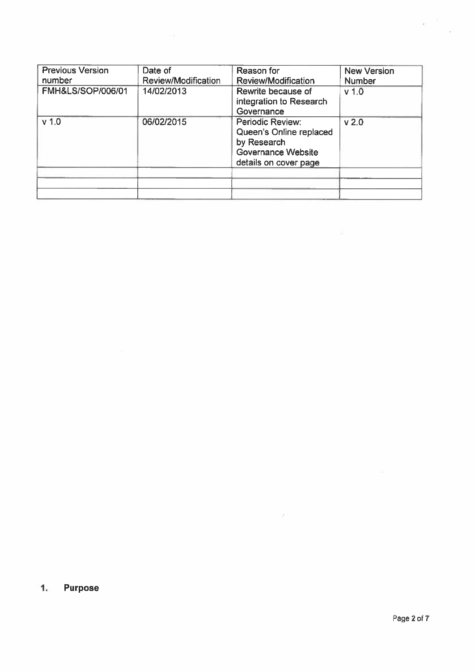| <b>Previous Version</b><br>number | Date of<br>Review/Modification | Reason for<br>Review/Modification                                                                                | <b>New Version</b><br>Number |
|-----------------------------------|--------------------------------|------------------------------------------------------------------------------------------------------------------|------------------------------|
| <b>FMH&amp;LS/SOP/006/01</b>      | 14/02/2013                     | Rewrite because of<br>integration to Research<br>Governance                                                      | v <sub>1.0</sub>             |
| v <sub>1.0</sub>                  | 06/02/2015                     | Periodic Review:<br>Queen's Online replaced<br>by Research<br><b>Governance Website</b><br>details on cover page | v <sub>2.0</sub>             |
|                                   |                                |                                                                                                                  |                              |

 $\sim$   $\sim$ 

 $\alpha$ 

# 1. Purpose

 $e^{-\pi i}$  .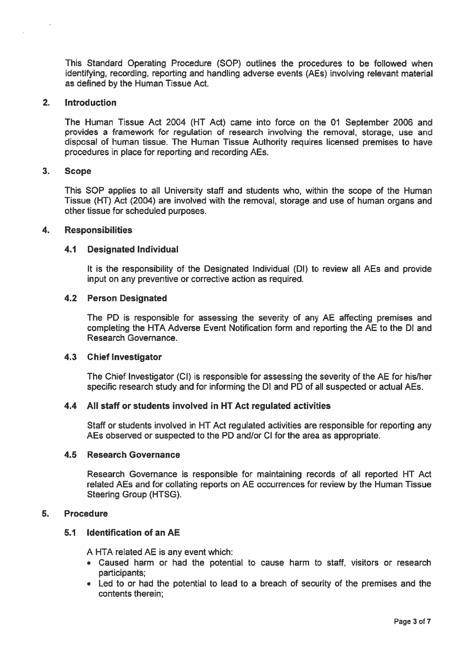This Standard Operating Procedure (SOP) outlines the procedures to be followed when identifying, recording, reporting and handling adverse events (AE5) involving relevant material as defined by the Human Tissue Act.

# 2. Introduction

The Human Tissue Act 2004 (HT Act) came into force on the 01 September 2006 and provides <sup>a</sup> framework for regulation of research involving the removal, storage, use and disposal of human tissue. The Human Tissue Authority requires licensed premises to have procedures in place for reporting and recording AEs.

# 3. Scope

This SOP applies to all University staff and students who, within the scope of the Human Tissue (HT) Act (2004) are involved with the removal, storage and use of human organs and other tissue for scheduled purposes.

#### 4. Responsibilities

#### 4.1 Designated Individual

It is the responsibility of the Designated Individual (Dl) to review all AEs and provide input on any preventive or corrective action as required.

#### 4.2 Person Designated

The PD is responsible for assessing the severity of any AE affecting premises and completing the HTA Adverse Event Notification form and reporting the AE to the DI and Research Governance.

#### 4.3 Chief Investigator

The Chief Investigator (CI) is responsible for assessing the severity of the AE for his/her specific research study and for informing the DI and PD of all suspected or actual AEs.

## 4.4 All staff or students involved in HT Act regulated activities

Staff or students involved in HT Act regulated activities are responsible for reporting any AEs observed or suspected to the PD and/or Cl for the area as appropriate.

#### 4.5 Research Governance

Research Governance is responsible for maintaining records of all reported HT Act related AEs and for collating reports on AE occurrences for review by the Human Tissue Steering Group (HTSG).

#### 5. Procedure

# 5.1 Identification of an AE

A HTA related AE is any event which:

- Caused harm or had the potential to cause harm to staff, visitors or research participants;
- Led to or had the potential to lead to <sup>a</sup> breach of security of the premises and the contents therein;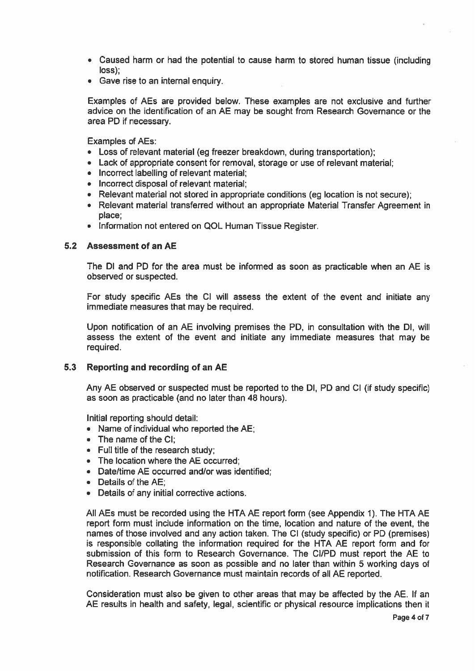- Caused harm or had the potential to cause harm to stored human tissue (including loss);
- Gave rise to an internal enquiry.

Examples of AEs are provided below. These examples are not exclusive and further advice on the identification of an AE may be sought from Research Governance or the area PD if necessary.

Examples of AEs:

- Loss of relevant material (eg freezer breakdown, during transportation);
- Lack of appropriate consent for removal, storage or use of relevant material;
- Incorrect labelling of relevant material;
- Incorrect disposal of relevant material;
- Relevant material not stored in appropriate conditions (eg location is not secure);
- Relevant material transferred without an appropriate Material Transfer Agreement in place;
- Information not entered on QOL Human Tissue Register.

# 5.2 Assessment of an AE

The Dl and PD for the area must be informed as soon as practicable when an AE is observed or suspected.

For study specific AEs the CI will assess the extent of the event and initiate any immediate measures that may be required.

Upon notification of an AE involving premises the PD, in consultation with the Dl, will assess the extent of the event and initiate any immediate measures that may be required.

## 5.3 Reporting and recording of an AF

Any AE observed or suspected must be reported to the DI, PD and Cl (if study specific) as soon as practicable (and no later than 48 hours).

Initial reporting should detail:

- Name of individual who reported the AE;
- The name of the CI;
- Full title of the research study;
- The location where the AE occurred;
- Date/time AE occurred and/or was identified;
- Details of the AE;
- Details of any initial corrective actions.

All AEs must be recorded using the HTA AE repor<sup>t</sup> form (see Appendix 1). The HTA AE repor<sup>t</sup> form must include information on the time, location and nature of the event, the names of those involved and any action taken. The Cl (study specific) or PD (premises) is responsible collating the information required for the HTA AE repor<sup>t</sup> form and for submission of this form to Research Governance. The Cl/PD must repor<sup>t</sup> the AE to Research Governance as soon as possible and no later than within 5 working days of notification. Research Governance must maintain records of all AE reported.

Consideration must also be given to other areas that may be affected by the AE. If an AE results in health and safety, legal, scientific or physical resource implications then it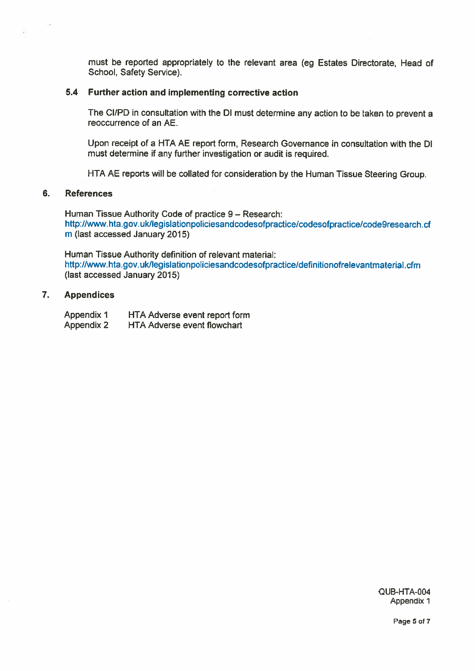must be reported appropriately to the relevant area (eg Estates Directorate, Head of School, Safety Service).

## 5.4 Further action and implementing corrective action

The Cl/PD in consultation with the Dl must determine any action to be taken to preven<sup>t</sup> <sup>a</sup> reoccurrence of an AE.

Upon receipt of <sup>a</sup> HTA AE repor<sup>t</sup> form, Research Governance in consultation with the Dl must determine if any further investigation or audit is required.

HTA AE reports will be collated for consideration by the Human Tissue Steering Group.

#### 6. References

Human Tissue Authority Code of practice 9— Research: http://www.hta.gov.ukilegislationpoliciesandcodesofpractice/codesofpractice/code9research.cf <sup>m</sup> (last accessed January 2015)

Human Tissue Authority definition of relevant material: http://www.hta.gov.uk/legislationpoliciesandcodesofpractice/definitionofrelevantmaterial.cfm (last accessed January 2015)

## 7. Appendices

Appendix 1 HTA Adverse event repor<sup>t</sup> form Appendix 2 HTA Adverse event flowchart

> QUB-HTA-004 Appendix 1

> > Page 5 of 7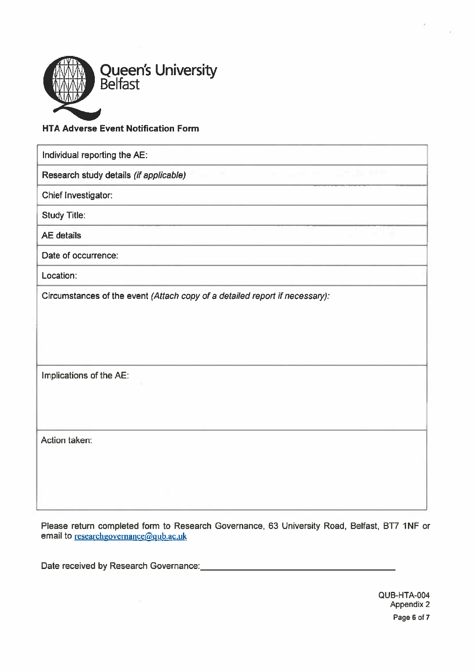

# HTA Adverse Event Notification Form

| Individual reporting the AE:                                                |
|-----------------------------------------------------------------------------|
| Research study details (if applicable)                                      |
| Chief Investigator:                                                         |
| <b>Study Title:</b>                                                         |
| <b>AE</b> details                                                           |
| Date of occurrence:                                                         |
| Location:                                                                   |
| Circumstances of the event (Attach copy of a detailed report if necessary): |
| Implications of the AE:                                                     |
| Action taken:                                                               |

Please return completed form to Research Governance, 63 University Road, Belfast, BT7 1NF or email to researchgovernance@qub.ac.uk

Date received by Research Governance: **Date is a contract to the set of the set of the set of the set of the set of the set of the set of the set of the set of the set of the set of the set of the set of the set of the set**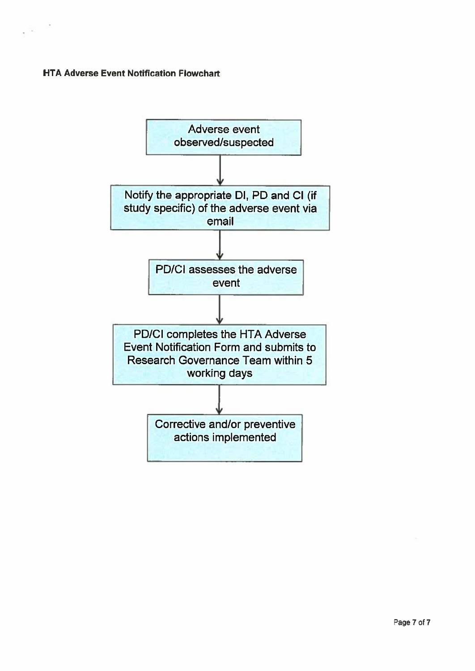# HTA Adverse Event Notification Flowchart

 $\sim$